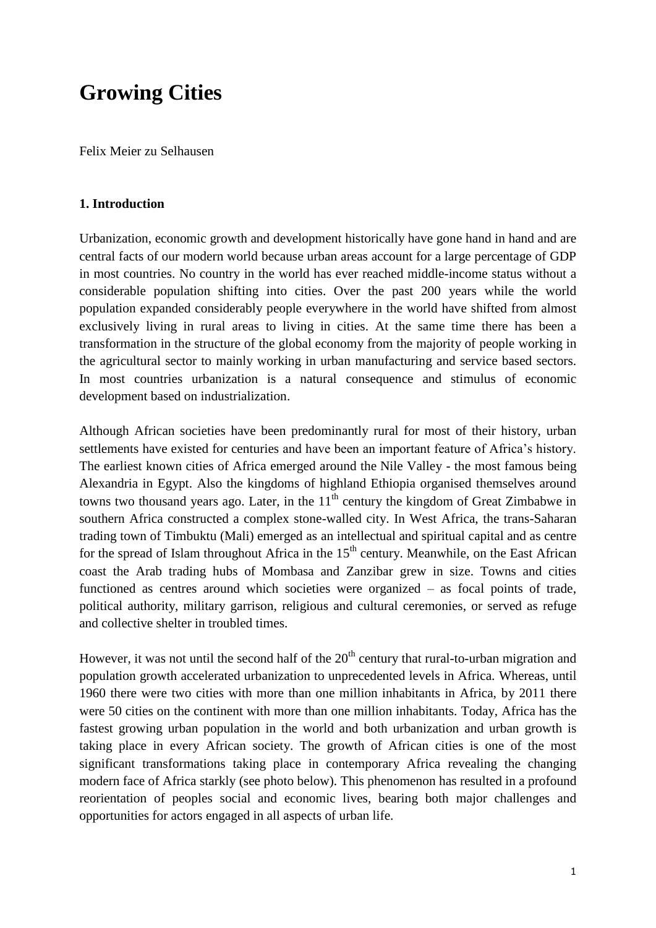# **Growing Cities**

Felix Meier zu Selhausen

## **1. Introduction**

Urbanization, economic growth and development historically have gone hand in hand and are central facts of our modern world because urban areas account for a large percentage of GDP in most countries. No country in the world has ever reached middle-income status without a considerable population shifting into cities. Over the past 200 years while the world population expanded considerably people everywhere in the world have shifted from almost exclusively living in rural areas to living in cities. At the same time there has been a transformation in the structure of the global economy from the majority of people working in the agricultural sector to mainly working in urban manufacturing and service based sectors. In most countries urbanization is a natural consequence and stimulus of economic development based on industrialization.

Although African societies have been predominantly rural for most of their history, urban settlements have existed for centuries and have been an important feature of Africa's history. The earliest known cities of Africa emerged around the Nile Valley - the most famous being Alexandria in Egypt. Also the kingdoms of highland Ethiopia organised themselves around towns two thousand years ago. Later, in the  $11<sup>th</sup>$  century the kingdom of Great Zimbabwe in southern Africa constructed a complex stone-walled city. In West Africa, the trans-Saharan trading town of Timbuktu (Mali) emerged as an intellectual and spiritual capital and as centre for the spread of Islam throughout Africa in the  $15<sup>th</sup>$  century. Meanwhile, on the East African coast the Arab trading hubs of Mombasa and Zanzibar grew in size. Towns and cities functioned as centres around which societies were organized – as focal points of trade, political authority, military garrison, religious and cultural ceremonies, or served as refuge and collective shelter in troubled times.

However, it was not until the second half of the  $20<sup>th</sup>$  century that rural-to-urban migration and population growth accelerated urbanization to unprecedented levels in Africa. Whereas, until 1960 there were two cities with more than one million inhabitants in Africa, by 2011 there were 50 cities on the continent with more than one million inhabitants. Today, Africa has the fastest growing urban population in the world and both urbanization and urban growth is taking place in every African society. The growth of African cities is one of the most significant transformations taking place in contemporary Africa revealing the changing modern face of Africa starkly (see photo below). This phenomenon has resulted in a profound reorientation of peoples social and economic lives, bearing both major challenges and opportunities for actors engaged in all aspects of urban life.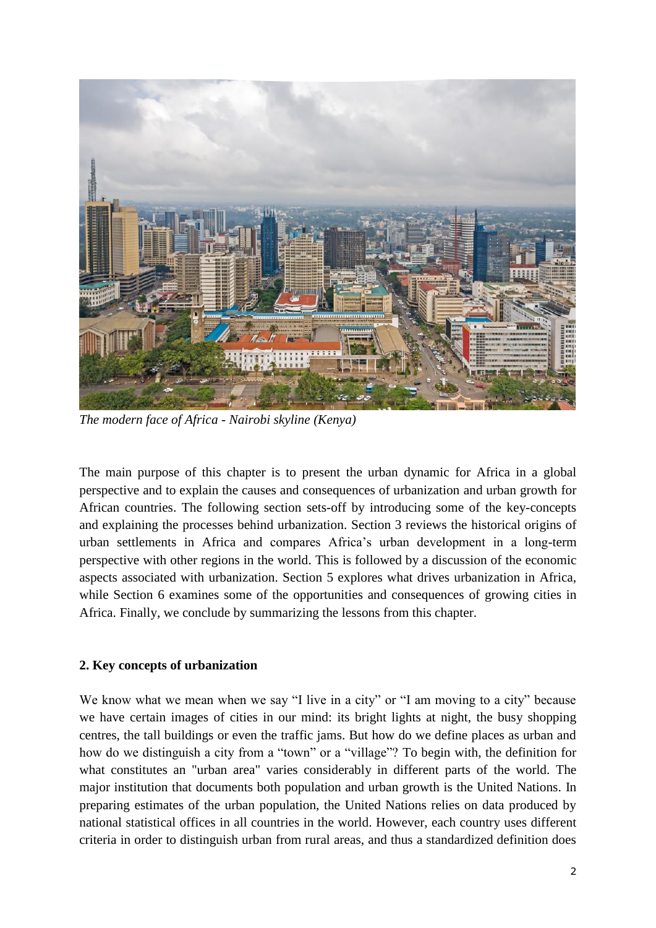

*The modern face of Africa - Nairobi skyline (Kenya)*

The main purpose of this chapter is to present the urban dynamic for Africa in a global perspective and to explain the causes and consequences of urbanization and urban growth for African countries. The following section sets-off by introducing some of the key-concepts and explaining the processes behind urbanization. Section 3 reviews the historical origins of urban settlements in Africa and compares Africa's urban development in a long-term perspective with other regions in the world. This is followed by a discussion of the economic aspects associated with urbanization. Section 5 explores what drives urbanization in Africa, while Section 6 examines some of the opportunities and consequences of growing cities in Africa. Finally, we conclude by summarizing the lessons from this chapter.

## **2. Key concepts of urbanization**

We know what we mean when we say "I live in a city" or "I am moving to a city" because we have certain images of cities in our mind: its bright lights at night, the busy shopping centres, the tall buildings or even the traffic jams. But how do we define places as urban and how do we distinguish a city from a "town" or a "village"? To begin with, the definition for what constitutes an "urban area" varies considerably in different parts of the world. The major institution that documents both population and urban growth is the United Nations. In preparing estimates of the urban population, the United Nations relies on data produced by national statistical offices in all countries in the world. However, each country uses different criteria in order to distinguish urban from rural areas, and thus a standardized definition does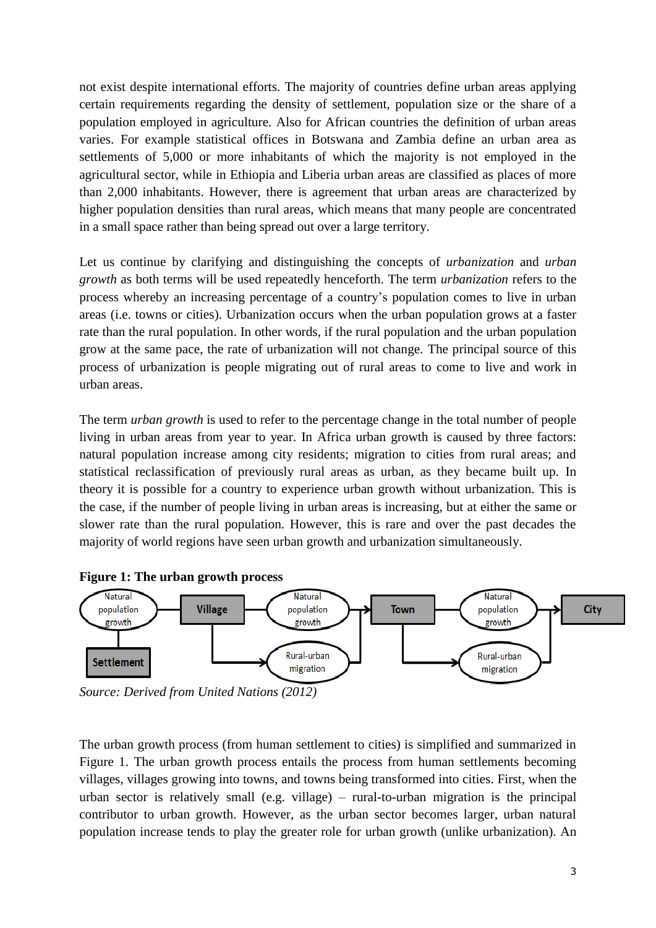not exist despite international efforts. The majority of countries define urban areas applying certain requirements regarding the density of settlement, population size or the share of a population employed in agriculture. Also for African countries the definition of urban areas varies. For example statistical offices in Botswana and Zambia define an urban area as settlements of 5,000 or more inhabitants of which the majority is not employed in the agricultural sector, while in Ethiopia and Liberia urban areas are classified as places of more than 2,000 inhabitants. However, there is agreement that urban areas are characterized by higher population densities than rural areas, which means that many people are concentrated in a small space rather than being spread out over a large territory.

Let us continue by clarifying and distinguishing the concepts of *urbanization* and *urban growth* as both terms will be used repeatedly henceforth. The term *urbanization* refers to the process whereby an increasing percentage of a country's population comes to live in urban areas (i.e. towns or cities). Urbanization occurs when the urban population grows at a faster rate than the rural population. In other words, if the rural population and the urban population grow at the same pace, the rate of urbanization will not change. The principal source of this process of urbanization is people migrating out of rural areas to come to live and work in urban areas.

The term *urban growth* is used to refer to the percentage change in the total number of people living in urban areas from year to year. In Africa urban growth is caused by three factors: natural population increase among city residents; migration to cities from rural areas; and statistical reclassification of previously rural areas as urban, as they became built up. In theory it is possible for a country to experience urban growth without urbanization. This is the case, if the number of people living in urban areas is increasing, but at either the same or slower rate than the rural population. However, this is rare and over the past decades the majority of world regions have seen urban growth and urbanization simultaneously.





*Source: Derived from United Nations (2012)*

The urban growth process (from human settlement to cities) is simplified and summarized in Figure 1. The urban growth process entails the process from human settlements becoming villages, villages growing into towns, and towns being transformed into cities. First, when the urban sector is relatively small (e.g. village) – rural-to-urban migration is the principal contributor to urban growth. However, as the urban sector becomes larger, urban natural population increase tends to play the greater role for urban growth (unlike urbanization). An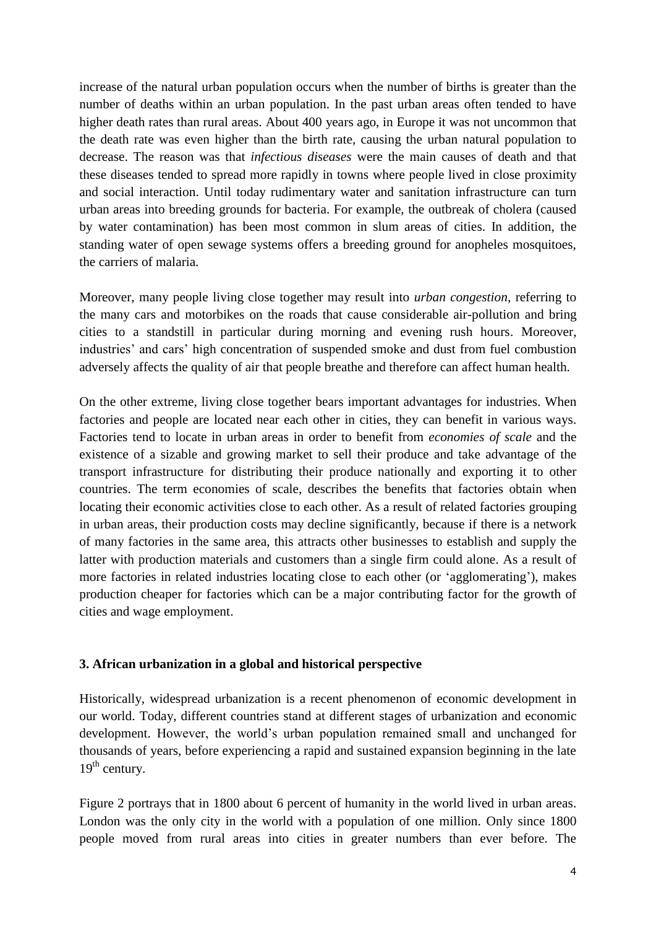increase of the natural urban population occurs when the number of births is greater than the number of deaths within an urban population. In the past urban areas often tended to have higher death rates than rural areas. About 400 years ago, in Europe it was not uncommon that the death rate was even higher than the birth rate, causing the urban natural population to decrease. The reason was that *infectious diseases* were the main causes of death and that these diseases tended to spread more rapidly in towns where people lived in close proximity and social interaction. Until today rudimentary water and sanitation infrastructure can turn urban areas into breeding grounds for bacteria. For example, the outbreak of cholera (caused by water contamination) has been most common in slum areas of cities. In addition, the standing water of open sewage systems offers a breeding ground for anopheles mosquitoes, the carriers of malaria.

Moreover, many people living close together may result into *urban congestion,* referring to the many cars and motorbikes on the roads that cause considerable air-pollution and bring cities to a standstill in particular during morning and evening rush hours. Moreover, industries' and cars' high concentration of suspended smoke and dust from fuel combustion adversely affects the quality of air that people breathe and therefore can affect human health.

On the other extreme, living close together bears important advantages for industries. When factories and people are located near each other in cities, they can benefit in various ways. Factories tend to locate in urban areas in order to benefit from *economies of scale* and the existence of a sizable and growing market to sell their produce and take advantage of the transport infrastructure for distributing their produce nationally and exporting it to other countries. The term economies of scale, describes the benefits that factories obtain when locating their economic activities close to each other. As a result of related factories grouping in urban areas, their production costs may decline significantly, because if there is a network of many factories in the same area, this attracts other businesses to establish and supply the latter with production materials and customers than a single firm could alone. As a result of more factories in related industries locating close to each other (or 'agglomerating'), makes production cheaper for factories which can be a major contributing factor for the growth of cities and wage employment.

## **3. African urbanization in a global and historical perspective**

Historically, widespread urbanization is a recent phenomenon of economic development in our world. Today, different countries stand at different stages of urbanization and economic development. However, the world's urban population remained small and unchanged for thousands of years, before experiencing a rapid and sustained expansion beginning in the late  $19<sup>th</sup>$  century.

Figure 2 portrays that in 1800 about 6 percent of humanity in the world lived in urban areas. London was the only city in the world with a population of one million. Only since 1800 people moved from rural areas into cities in greater numbers than ever before. The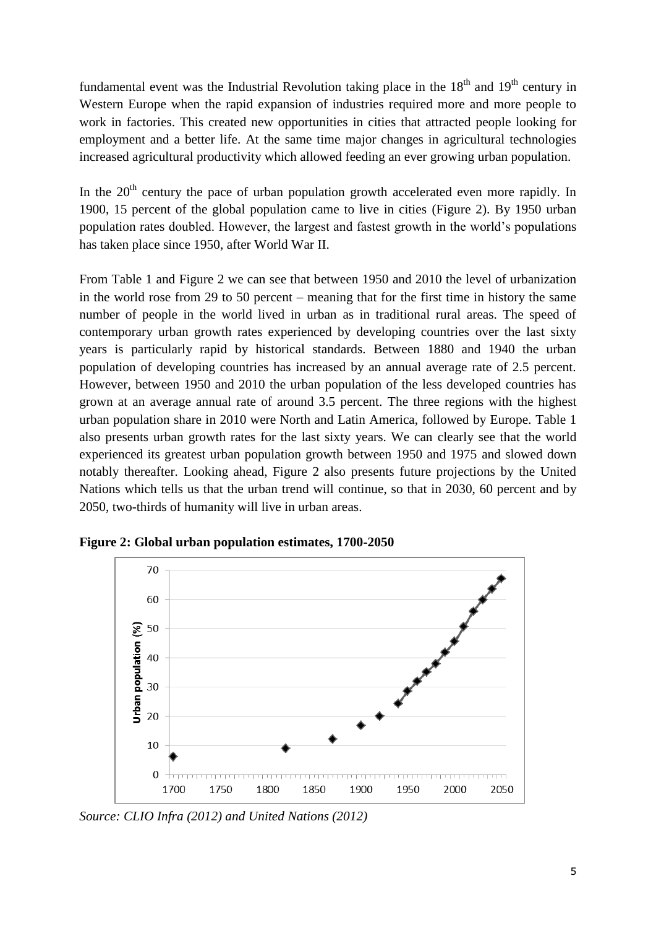fundamental event was the Industrial Revolution taking place in the  $18<sup>th</sup>$  and  $19<sup>th</sup>$  century in Western Europe when the rapid expansion of industries required more and more people to work in factories. This created new opportunities in cities that attracted people looking for employment and a better life. At the same time major changes in agricultural technologies increased agricultural productivity which allowed feeding an ever growing urban population.

In the  $20<sup>th</sup>$  century the pace of urban population growth accelerated even more rapidly. In 1900, 15 percent of the global population came to live in cities (Figure 2). By 1950 urban population rates doubled. However, the largest and fastest growth in the world's populations has taken place since 1950, after World War II.

From Table 1 and Figure 2 we can see that between 1950 and 2010 the level of urbanization in the world rose from 29 to 50 percent – meaning that for the first time in history the same number of people in the world lived in urban as in traditional rural areas. The speed of contemporary urban growth rates experienced by developing countries over the last sixty years is particularly rapid by historical standards. Between 1880 and 1940 the urban population of developing countries has increased by an annual average rate of 2.5 percent. However, between 1950 and 2010 the urban population of the less developed countries has grown at an average annual rate of around 3.5 percent. The three regions with the highest urban population share in 2010 were North and Latin America, followed by Europe. Table 1 also presents urban growth rates for the last sixty years. We can clearly see that the world experienced its greatest urban population growth between 1950 and 1975 and slowed down notably thereafter. Looking ahead, Figure 2 also presents future projections by the United Nations which tells us that the urban trend will continue, so that in 2030, 60 percent and by 2050, two-thirds of humanity will live in urban areas.



**Figure 2: Global urban population estimates, 1700-2050**

*Source: CLIO Infra (2012) and United Nations (2012)*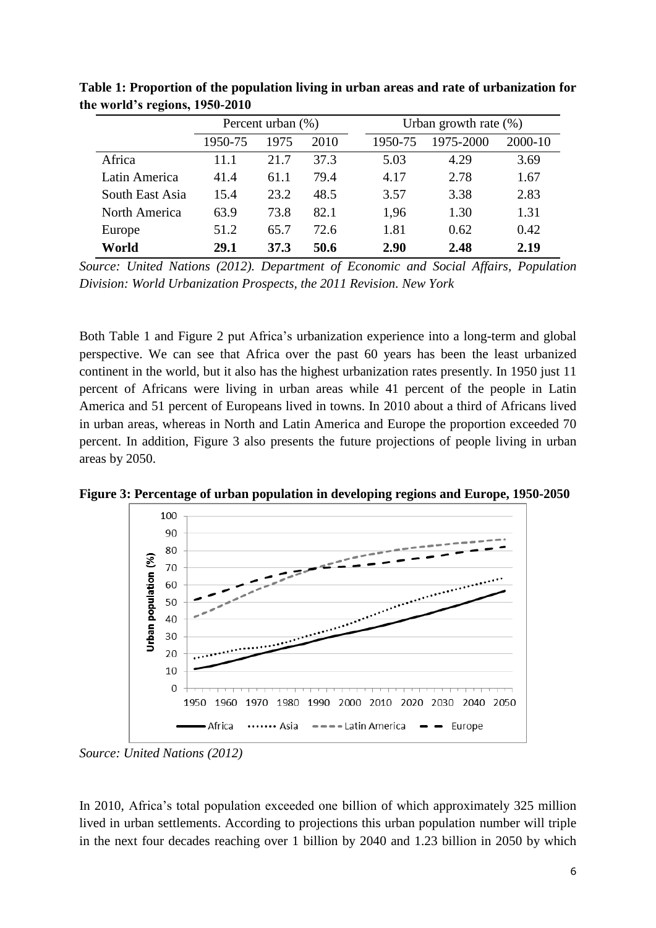|                 | Percent urban (%) |      |      | Urban growth rate $(\%)$ |           |         |
|-----------------|-------------------|------|------|--------------------------|-----------|---------|
|                 | 1950-75           | 1975 | 2010 | 1950-75                  | 1975-2000 | 2000-10 |
| Africa          | 11.1              | 21.7 | 37.3 | 5.03                     | 4.29      | 3.69    |
| Latin America   | 41.4              | 61.1 | 79.4 | 4.17                     | 2.78      | 1.67    |
| South East Asia | 15.4              | 23.2 | 48.5 | 3.57                     | 3.38      | 2.83    |
| North America   | 63.9              | 73.8 | 82.1 | 1,96                     | 1.30      | 1.31    |
| Europe          | 51.2              | 65.7 | 72.6 | 1.81                     | 0.62      | 0.42    |
| World           | 29.1              | 37.3 | 50.6 | 2.90                     | 2.48      | 2.19    |

**Table 1: Proportion of the population living in urban areas and rate of urbanization for the world's regions, 1950-2010**

*Source: United Nations (2012). Department of Economic and Social Affairs, Population Division: World Urbanization Prospects, the 2011 Revision. New York*

Both Table 1 and Figure 2 put Africa's urbanization experience into a long-term and global perspective. We can see that Africa over the past 60 years has been the least urbanized continent in the world, but it also has the highest urbanization rates presently. In 1950 just 11 percent of Africans were living in urban areas while 41 percent of the people in Latin America and 51 percent of Europeans lived in towns. In 2010 about a third of Africans lived in urban areas, whereas in North and Latin America and Europe the proportion exceeded 70 percent. In addition, Figure 3 also presents the future projections of people living in urban areas by 2050.

**Figure 3: Percentage of urban population in developing regions and Europe, 1950-2050**



*Source: United Nations (2012)*

In 2010, Africa's total population exceeded one billion of which approximately 325 million lived in urban settlements. According to projections this urban population number will triple in the next four decades reaching over 1 billion by 2040 and 1.23 billion in 2050 by which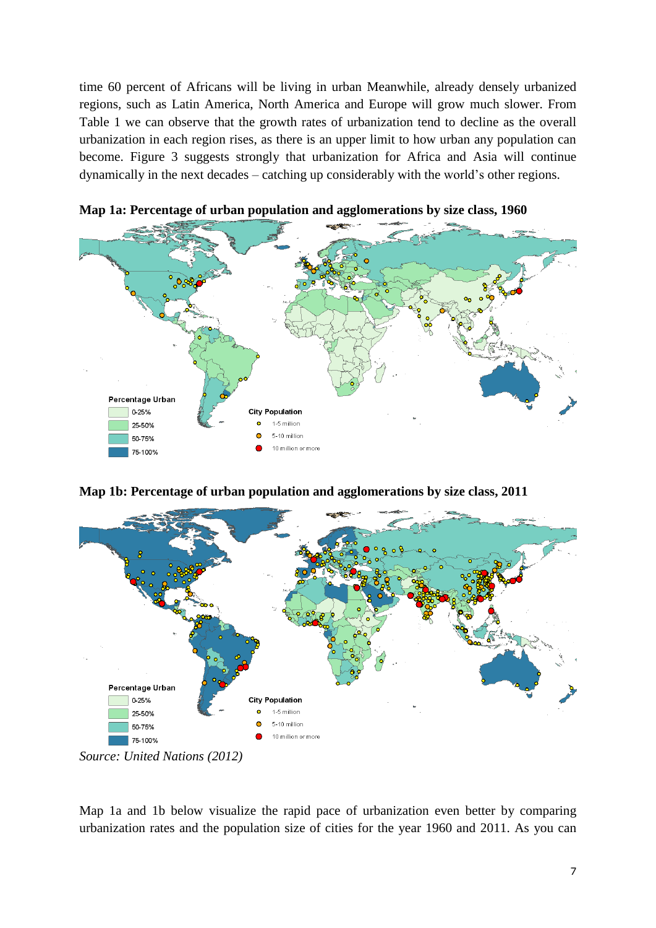time 60 percent of Africans will be living in urban Meanwhile, already densely urbanized regions, such as Latin America, North America and Europe will grow much slower. From Table 1 we can observe that the growth rates of urbanization tend to decline as the overall urbanization in each region rises, as there is an upper limit to how urban any population can become. Figure 3 suggests strongly that urbanization for Africa and Asia will continue dynamically in the next decades – catching up considerably with the world's other regions.



**Map 1a: Percentage of urban population and agglomerations by size class, 1960**

**Map 1b: Percentage of urban population and agglomerations by size class, 2011**



*Source: United Nations (2012)*

Map 1a and 1b below visualize the rapid pace of urbanization even better by comparing urbanization rates and the population size of cities for the year 1960 and 2011. As you can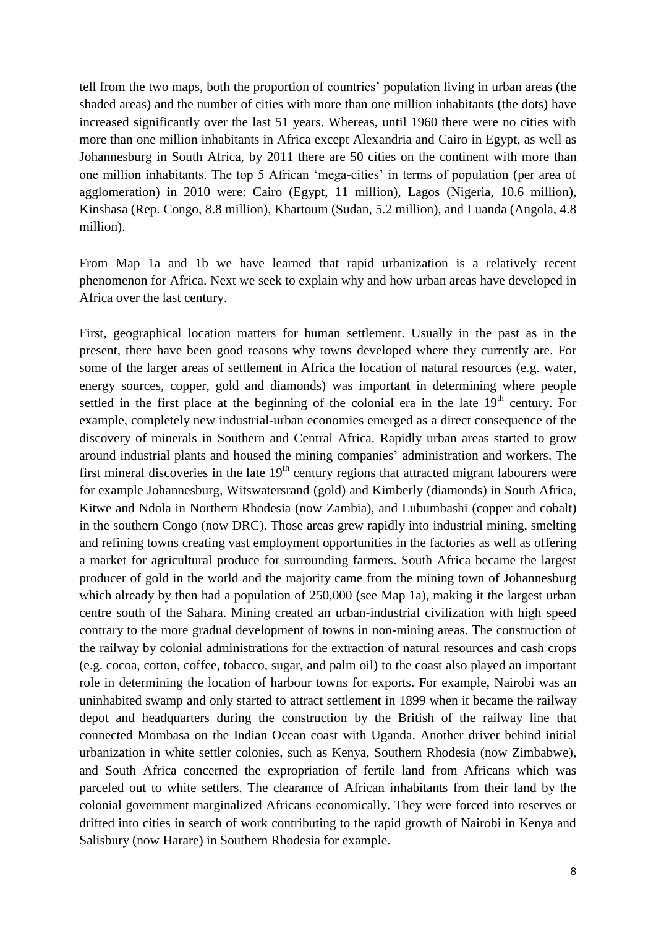tell from the two maps, both the proportion of countries' population living in urban areas (the shaded areas) and the number of cities with more than one million inhabitants (the dots) have increased significantly over the last 51 years. Whereas, until 1960 there were no cities with more than one million inhabitants in Africa except Alexandria and Cairo in Egypt, as well as Johannesburg in South Africa, by 2011 there are 50 cities on the continent with more than one million inhabitants. The top 5 African 'mega-cities' in terms of population (per area of agglomeration) in 2010 were: Cairo (Egypt, 11 million), Lagos (Nigeria, 10.6 million), Kinshasa (Rep. Congo, 8.8 million), Khartoum (Sudan, 5.2 million), and Luanda (Angola, 4.8 million).

From Map 1a and 1b we have learned that rapid urbanization is a relatively recent phenomenon for Africa. Next we seek to explain why and how urban areas have developed in Africa over the last century.

First, geographical location matters for human settlement. Usually in the past as in the present, there have been good reasons why towns developed where they currently are. For some of the larger areas of settlement in Africa the location of natural resources (e.g. water, energy sources, copper, gold and diamonds) was important in determining where people settled in the first place at the beginning of the colonial era in the late  $19<sup>th</sup>$  century. For example, completely new industrial-urban economies emerged as a direct consequence of the discovery of minerals in Southern and Central Africa. Rapidly urban areas started to grow around industrial plants and housed the mining companies' administration and workers. The first mineral discoveries in the late  $19<sup>th</sup>$  century regions that attracted migrant labourers were for example Johannesburg, Witswatersrand (gold) and Kimberly (diamonds) in South Africa, Kitwe and Ndola in Northern Rhodesia (now Zambia), and Lubumbashi (copper and cobalt) in the southern Congo (now DRC). Those areas grew rapidly into industrial mining, smelting and refining towns creating vast employment opportunities in the factories as well as offering a market for agricultural produce for surrounding farmers. South Africa became the largest producer of gold in the world and the majority came from the mining town of Johannesburg which already by then had a population of 250,000 (see Map 1a), making it the largest urban centre south of the Sahara. Mining created an urban-industrial civilization with high speed contrary to the more gradual development of towns in non-mining areas. The construction of the railway by colonial administrations for the extraction of natural resources and cash crops (e.g. cocoa, cotton, coffee, tobacco, sugar, and palm oil) to the coast also played an important role in determining the location of harbour towns for exports. For example, Nairobi was an uninhabited swamp and only started to attract settlement in 1899 when it became the railway depot and headquarters during the construction by the British of the railway line that connected Mombasa on the Indian Ocean coast with Uganda. Another driver behind initial urbanization in white settler colonies, such as Kenya, Southern Rhodesia (now Zimbabwe), and South Africa concerned the expropriation of fertile land from Africans which was parceled out to white settlers. The clearance of African inhabitants from their land by the colonial government marginalized Africans economically. They were forced into reserves or drifted into cities in search of work contributing to the rapid growth of Nairobi in Kenya and Salisbury (now Harare) in Southern Rhodesia for example.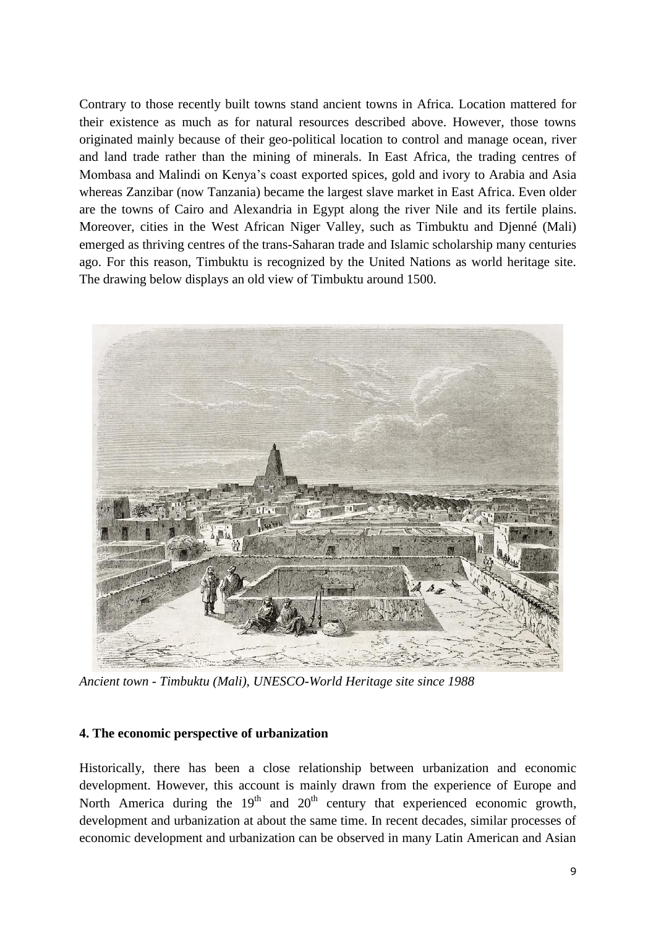Contrary to those recently built towns stand ancient towns in Africa. Location mattered for their existence as much as for natural resources described above. However, those towns originated mainly because of their geo-political location to control and manage ocean, river and land trade rather than the mining of minerals. In East Africa, the trading centres of Mombasa and Malindi on Kenya's coast exported spices, gold and ivory to Arabia and Asia whereas Zanzibar (now Tanzania) became the largest slave market in East Africa. Even older are the towns of Cairo and Alexandria in Egypt along the river Nile and its fertile plains. Moreover, cities in the West African Niger Valley, such as Timbuktu and Djenné (Mali) emerged as thriving centres of the trans-Saharan trade and Islamic scholarship many centuries ago. For this reason, Timbuktu is recognized by the United Nations as world heritage site. The drawing below displays an old view of Timbuktu around 1500.



*Ancient town - Timbuktu (Mali), UNESCO-World Heritage site since 1988*

## **4. The economic perspective of urbanization**

Historically, there has been a close relationship between urbanization and economic development. However, this account is mainly drawn from the experience of Europe and North America during the  $19<sup>th</sup>$  and  $20<sup>th</sup>$  century that experienced economic growth, development and urbanization at about the same time. In recent decades, similar processes of economic development and urbanization can be observed in many Latin American and Asian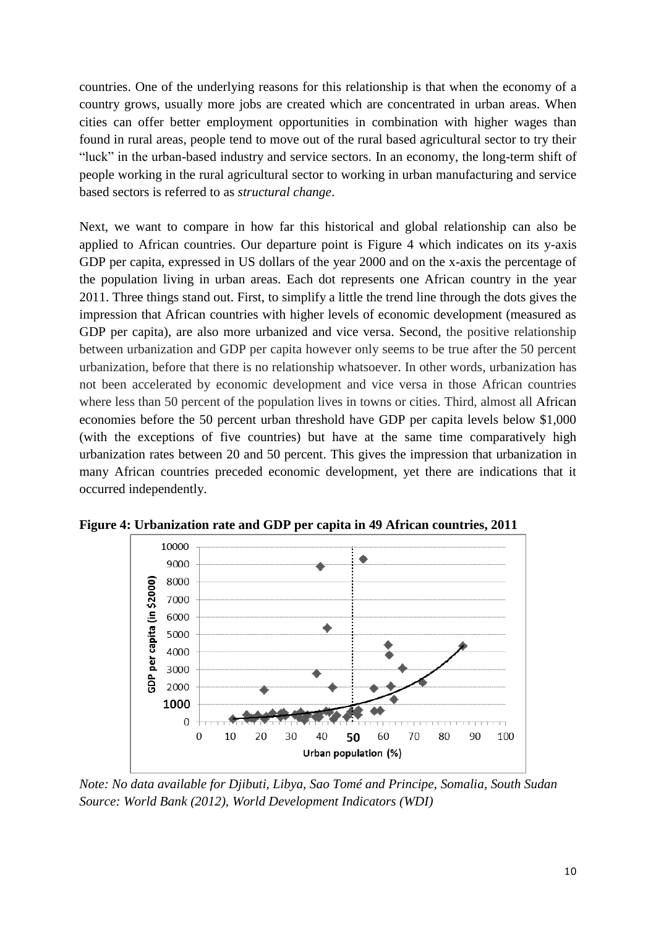countries. One of the underlying reasons for this relationship is that when the economy of a country grows, usually more jobs are created which are concentrated in urban areas. When cities can offer better employment opportunities in combination with higher wages than found in rural areas, people tend to move out of the rural based agricultural sector to try their "luck" in the urban-based industry and service sectors. In an economy, the long-term shift of people working in the rural agricultural sector to working in urban manufacturing and service based sectors is referred to as *structural change*.

Next, we want to compare in how far this historical and global relationship can also be applied to African countries. Our departure point is Figure 4 which indicates on its y-axis GDP per capita, expressed in US dollars of the year 2000 and on the x-axis the percentage of the population living in urban areas. Each dot represents one African country in the year 2011. Three things stand out. First, to simplify a little the trend line through the dots gives the impression that African countries with higher levels of economic development (measured as GDP per capita), are also more urbanized and vice versa. Second, the positive relationship between urbanization and GDP per capita however only seems to be true after the 50 percent urbanization, before that there is no relationship whatsoever. In other words, urbanization has not been accelerated by economic development and vice versa in those African countries where less than 50 percent of the population lives in towns or cities. Third, almost all African economies before the 50 percent urban threshold have GDP per capita levels below \$1,000 (with the exceptions of five countries) but have at the same time comparatively high urbanization rates between 20 and 50 percent. This gives the impression that urbanization in many African countries preceded economic development, yet there are indications that it occurred independently.



**Figure 4: Urbanization rate and GDP per capita in 49 African countries, 2011**

*Note: No data available for Djibuti, Libya, Sao Tomé and Principe, Somalia, South Sudan Source: World Bank (2012), World Development Indicators (WDI)*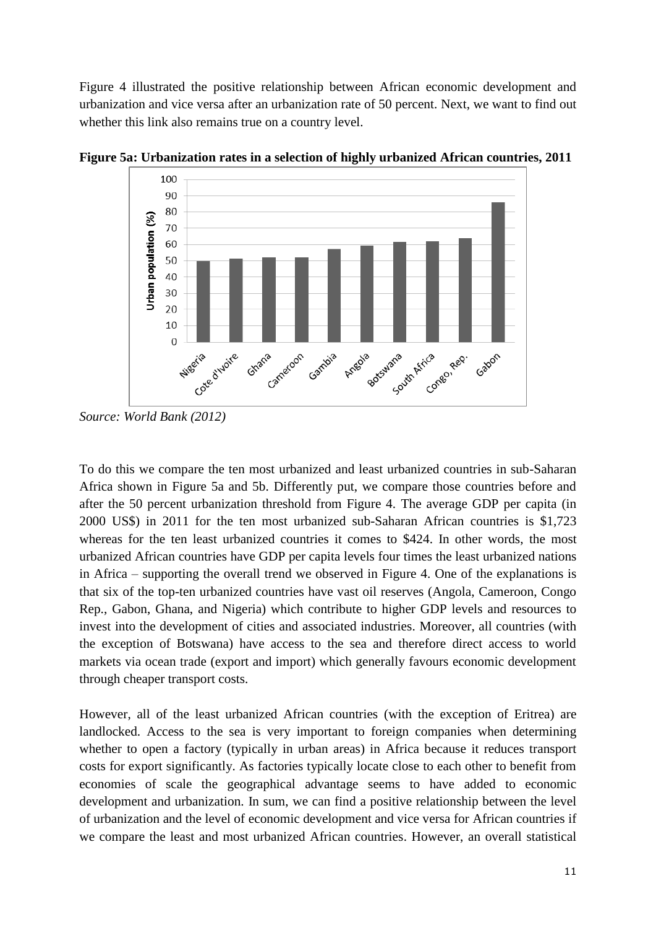Figure 4 illustrated the positive relationship between African economic development and urbanization and vice versa after an urbanization rate of 50 percent. Next, we want to find out whether this link also remains true on a country level.



**Figure 5a: Urbanization rates in a selection of highly urbanized African countries, 2011**

To do this we compare the ten most urbanized and least urbanized countries in sub-Saharan Africa shown in Figure 5a and 5b. Differently put, we compare those countries before and after the 50 percent urbanization threshold from Figure 4. The average GDP per capita (in 2000 US\$) in 2011 for the ten most urbanized sub-Saharan African countries is \$1,723 whereas for the ten least urbanized countries it comes to \$424. In other words, the most urbanized African countries have GDP per capita levels four times the least urbanized nations in Africa – supporting the overall trend we observed in Figure 4. One of the explanations is that six of the top-ten urbanized countries have vast oil reserves (Angola, Cameroon, Congo Rep., Gabon, Ghana, and Nigeria) which contribute to higher GDP levels and resources to invest into the development of cities and associated industries. Moreover, all countries (with the exception of Botswana) have access to the sea and therefore direct access to world markets via ocean trade (export and import) which generally favours economic development through cheaper transport costs.

However, all of the least urbanized African countries (with the exception of Eritrea) are landlocked. Access to the sea is very important to foreign companies when determining whether to open a factory (typically in urban areas) in Africa because it reduces transport costs for export significantly. As factories typically locate close to each other to benefit from economies of scale the geographical advantage seems to have added to economic development and urbanization. In sum, we can find a positive relationship between the level of urbanization and the level of economic development and vice versa for African countries if we compare the least and most urbanized African countries. However, an overall statistical

*Source: World Bank (2012)*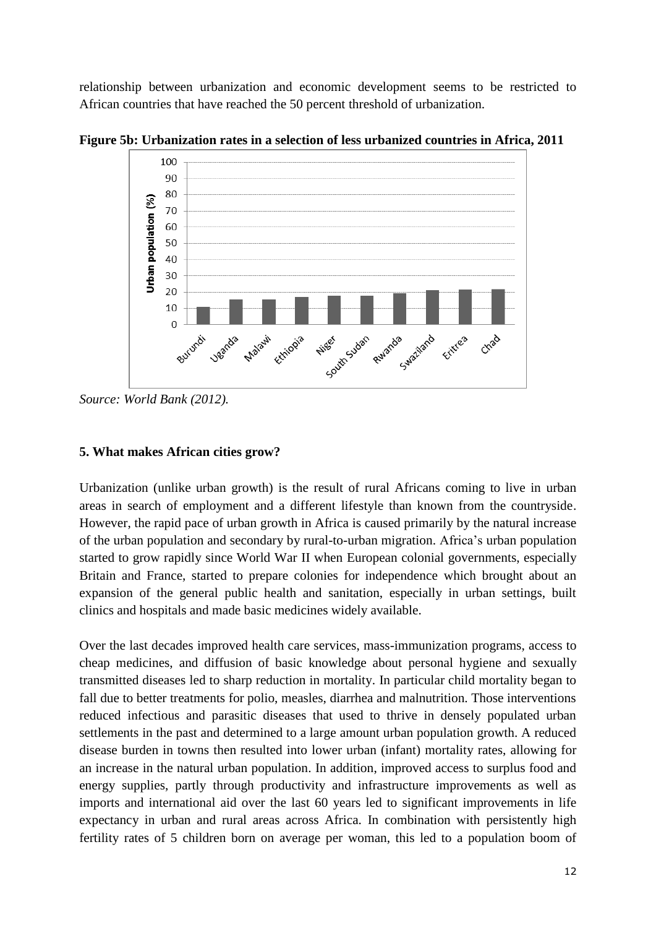relationship between urbanization and economic development seems to be restricted to African countries that have reached the 50 percent threshold of urbanization.



**Figure 5b: Urbanization rates in a selection of less urbanized countries in Africa, 2011**

*Source: World Bank (2012).*

# **5. What makes African cities grow?**

Urbanization (unlike urban growth) is the result of rural Africans coming to live in urban areas in search of employment and a different lifestyle than known from the countryside. However, the rapid pace of urban growth in Africa is caused primarily by the natural increase of the urban population and secondary by rural-to-urban migration. Africa's urban population started to grow rapidly since World War II when European colonial governments, especially Britain and France, started to prepare colonies for independence which brought about an expansion of the general public health and sanitation, especially in urban settings, built clinics and hospitals and made basic medicines widely available.

Over the last decades improved health care services, mass-immunization programs, access to cheap medicines, and diffusion of basic knowledge about personal hygiene and sexually transmitted diseases led to sharp reduction in mortality. In particular child mortality began to fall due to better treatments for polio, measles, diarrhea and malnutrition. Those interventions reduced infectious and parasitic diseases that used to thrive in densely populated urban settlements in the past and determined to a large amount urban population growth. A reduced disease burden in towns then resulted into lower urban (infant) mortality rates, allowing for an increase in the natural urban population. In addition, improved access to surplus food and energy supplies, partly through productivity and infrastructure improvements as well as imports and international aid over the last 60 years led to significant improvements in life expectancy in urban and rural areas across Africa. In combination with persistently high fertility rates of 5 children born on average per woman, this led to a population boom of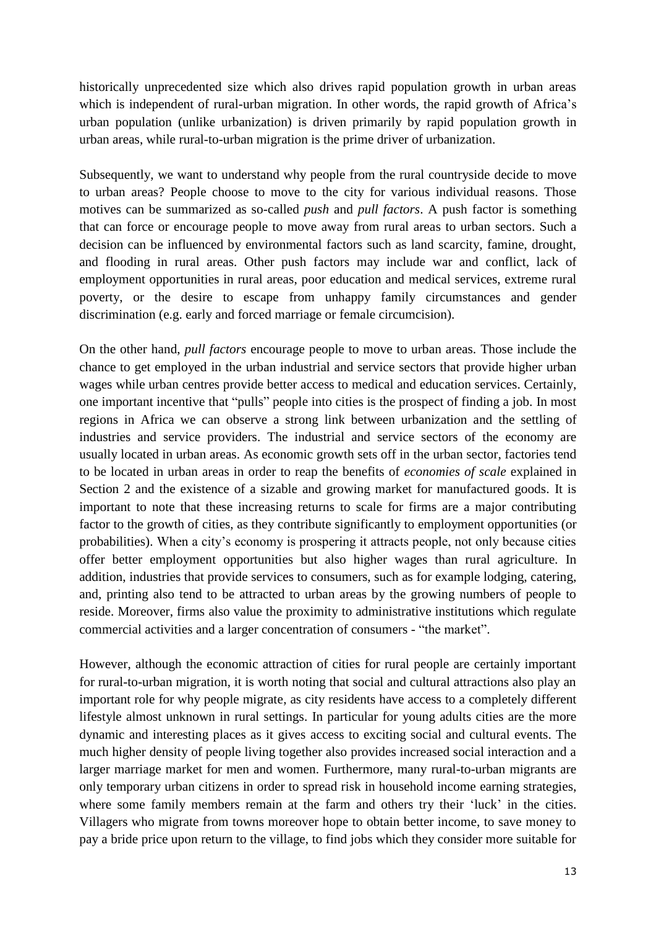historically unprecedented size which also drives rapid population growth in urban areas which is independent of rural-urban migration. In other words, the rapid growth of Africa's urban population (unlike urbanization) is driven primarily by rapid population growth in urban areas, while rural-to-urban migration is the prime driver of urbanization.

Subsequently, we want to understand why people from the rural countryside decide to move to urban areas? People choose to move to the city for various individual reasons. Those motives can be summarized as so-called *push* and *pull factors*. A push factor is something that can force or encourage people to move away from rural areas to urban sectors. Such a decision can be influenced by environmental factors such as land scarcity, famine, drought, and flooding in rural areas. Other push factors may include war and conflict, lack of employment opportunities in rural areas, poor education and medical services, extreme rural poverty, or the desire to escape from unhappy family circumstances and gender discrimination (e.g. early and forced marriage or female circumcision).

On the other hand, *pull factors* encourage people to move to urban areas. Those include the chance to get employed in the urban industrial and service sectors that provide higher urban wages while urban centres provide better access to medical and education services. Certainly, one important incentive that "pulls" people into cities is the prospect of finding a job. In most regions in Africa we can observe a strong link between urbanization and the settling of industries and service providers. The industrial and service sectors of the economy are usually located in urban areas. As economic growth sets off in the urban sector, factories tend to be located in urban areas in order to reap the benefits of *economies of scale* explained in Section 2 and the existence of a sizable and growing market for manufactured goods. It is important to note that these increasing returns to scale for firms are a major contributing factor to the growth of cities, as they contribute significantly to employment opportunities (or probabilities). When a city's economy is prospering it attracts people, not only because cities offer better employment opportunities but also higher wages than rural agriculture. In addition, industries that provide services to consumers, such as for example lodging, catering, and, printing also tend to be attracted to urban areas by the growing numbers of people to reside. Moreover, firms also value the proximity to administrative institutions which regulate commercial activities and a larger concentration of consumers - "the market".

However, although the economic attraction of cities for rural people are certainly important for rural-to-urban migration, it is worth noting that social and cultural attractions also play an important role for why people migrate, as city residents have access to a completely different lifestyle almost unknown in rural settings. In particular for young adults cities are the more dynamic and interesting places as it gives access to exciting social and cultural events. The much higher density of people living together also provides increased social interaction and a larger marriage market for men and women. Furthermore, many rural-to-urban migrants are only temporary urban citizens in order to spread risk in household income earning strategies, where some family members remain at the farm and others try their 'luck' in the cities. Villagers who migrate from towns moreover hope to obtain better income, to save money to pay a bride price upon return to the village, to find jobs which they consider more suitable for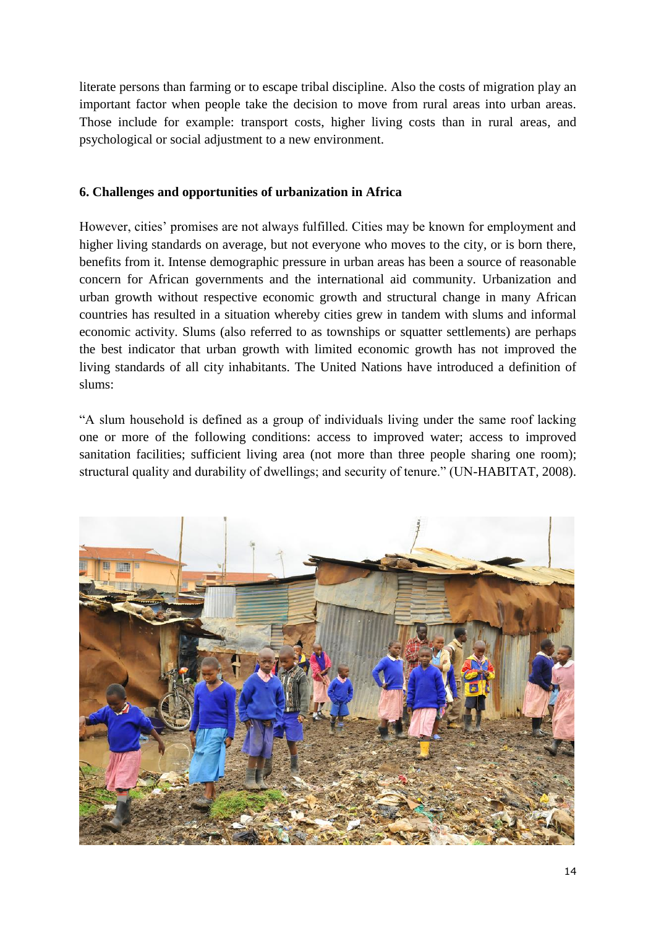literate persons than farming or to escape tribal discipline. Also the costs of migration play an important factor when people take the decision to move from rural areas into urban areas. Those include for example: transport costs, higher living costs than in rural areas, and psychological or social adjustment to a new environment.

## **6. Challenges and opportunities of urbanization in Africa**

However, cities' promises are not always fulfilled. Cities may be known for employment and higher living standards on average, but not everyone who moves to the city, or is born there, benefits from it. Intense demographic pressure in urban areas has been a source of reasonable concern for African governments and the international aid community. Urbanization and urban growth without respective economic growth and structural change in many African countries has resulted in a situation whereby cities grew in tandem with slums and informal economic activity. Slums (also referred to as townships or squatter settlements) are perhaps the best indicator that urban growth with limited economic growth has not improved the living standards of all city inhabitants. The United Nations have introduced a definition of slums:

"A slum household is defined as a group of individuals living under the same roof lacking one or more of the following conditions: access to improved water; access to improved sanitation facilities; sufficient living area (not more than three people sharing one room); structural quality and durability of dwellings; and security of tenure." (UN-HABITAT, 2008).

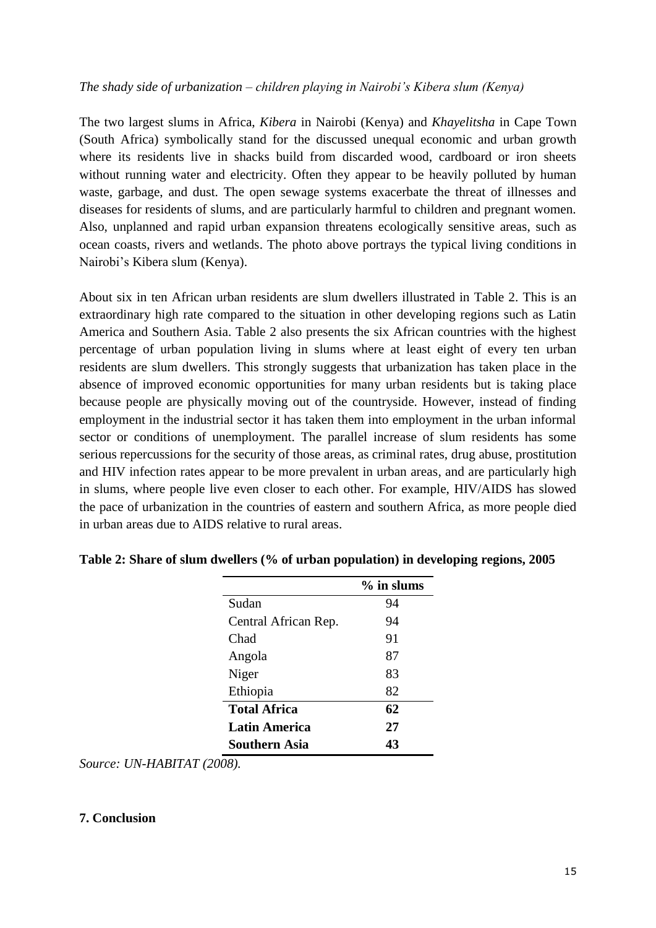## *The shady side of urbanization – children playing in Nairobi's Kibera slum (Kenya)*

The two largest slums in Africa, *Kibera* in Nairobi (Kenya) and *Khayelitsha* in Cape Town (South Africa) symbolically stand for the discussed unequal economic and urban growth where its residents live in shacks build from discarded wood, cardboard or iron sheets without running water and electricity. Often they appear to be heavily polluted by human waste, garbage, and dust. The open sewage systems exacerbate the threat of illnesses and diseases for residents of slums, and are particularly harmful to children and pregnant women. Also, unplanned and rapid urban expansion threatens ecologically sensitive areas, such as ocean coasts, rivers and wetlands. The photo above portrays the typical living conditions in Nairobi's Kibera slum (Kenya).

About six in ten African urban residents are slum dwellers illustrated in Table 2. This is an extraordinary high rate compared to the situation in other developing regions such as Latin America and Southern Asia. Table 2 also presents the six African countries with the highest percentage of urban population living in slums where at least eight of every ten urban residents are slum dwellers. This strongly suggests that urbanization has taken place in the absence of improved economic opportunities for many urban residents but is taking place because people are physically moving out of the countryside. However, instead of finding employment in the industrial sector it has taken them into employment in the urban informal sector or conditions of unemployment. The parallel increase of slum residents has some serious repercussions for the security of those areas, as criminal rates, drug abuse, prostitution and HIV infection rates appear to be more prevalent in urban areas, and are particularly high in slums, where people live even closer to each other. For example, HIV/AIDS has slowed the pace of urbanization in the countries of eastern and southern Africa, as more people died in urban areas due to AIDS relative to rural areas.

|                      | $\%$ in slums |
|----------------------|---------------|
| Sudan                | 94            |
| Central African Rep. | 94            |
| Chad                 | 91            |
| Angola               | 87            |
| Niger                | 83            |
| Ethiopia             | 82            |
| <b>Total Africa</b>  | 62            |
| <b>Latin America</b> | 27            |
| Southern Asia        | 43            |

**Table 2: Share of slum dwellers (% of urban population) in developing regions, 2005**

*Source: UN-HABITAT (2008).*

## **7. Conclusion**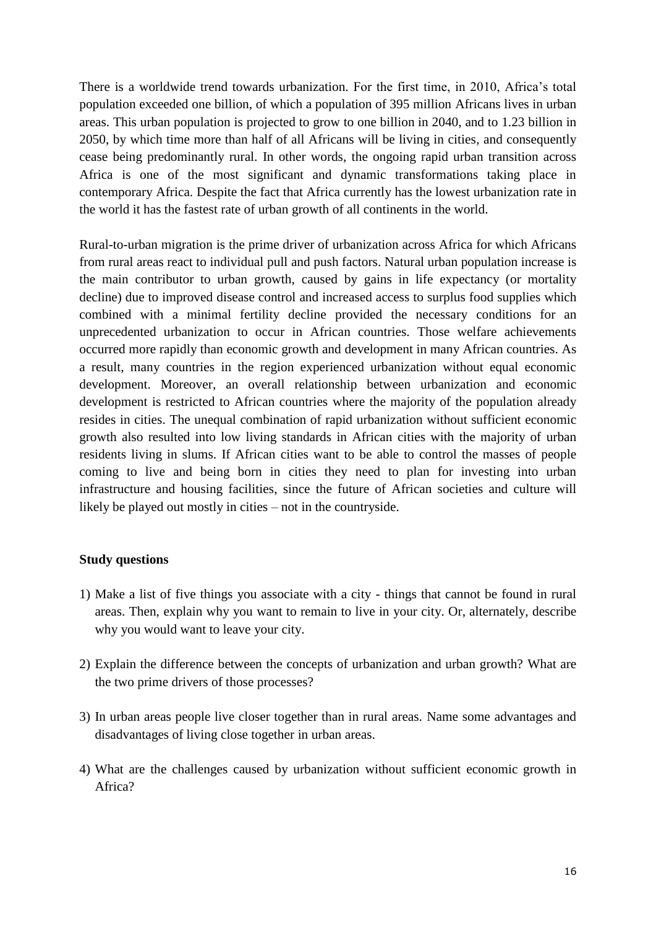There is a worldwide trend towards urbanization. For the first time, in 2010, Africa's total population exceeded one billion, of which a population of 395 million Africans lives in urban areas. This urban population is projected to grow to one billion in 2040, and to 1.23 billion in 2050, by which time more than half of all Africans will be living in cities, and consequently cease being predominantly rural. In other words, the ongoing rapid urban transition across Africa is one of the most significant and dynamic transformations taking place in contemporary Africa. Despite the fact that Africa currently has the lowest urbanization rate in the world it has the fastest rate of urban growth of all continents in the world.

Rural-to-urban migration is the prime driver of urbanization across Africa for which Africans from rural areas react to individual pull and push factors. Natural urban population increase is the main contributor to urban growth, caused by gains in life expectancy (or mortality decline) due to improved disease control and increased access to surplus food supplies which combined with a minimal fertility decline provided the necessary conditions for an unprecedented urbanization to occur in African countries. Those welfare achievements occurred more rapidly than economic growth and development in many African countries. As a result, many countries in the region experienced urbanization without equal economic development. Moreover, an overall relationship between urbanization and economic development is restricted to African countries where the majority of the population already resides in cities. The unequal combination of rapid urbanization without sufficient economic growth also resulted into low living standards in African cities with the majority of urban residents living in slums. If African cities want to be able to control the masses of people coming to live and being born in cities they need to plan for investing into urban infrastructure and housing facilities, since the future of African societies and culture will likely be played out mostly in cities – not in the countryside.

## **Study questions**

- 1) Make a list of five things you associate with a city things that cannot be found in rural areas. Then, explain why you want to remain to live in your city. Or, alternately, describe why you would want to leave your city.
- 2) Explain the difference between the concepts of urbanization and urban growth? What are the two prime drivers of those processes?
- 3) In urban areas people live closer together than in rural areas. Name some advantages and disadvantages of living close together in urban areas.
- 4) What are the challenges caused by urbanization without sufficient economic growth in Africa?